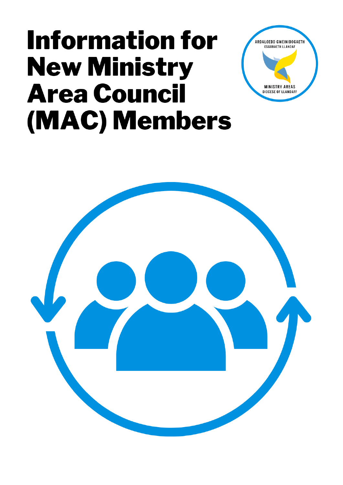# **Information for New Ministry Area Council** (MAC) Members



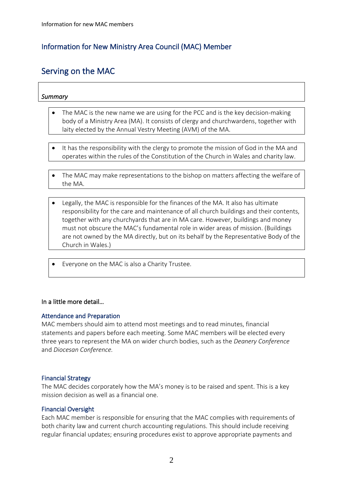#### Information for New Ministry Area Council (MAC) Member

## Serving on the MAC

#### *Summary*

- The MAC is the new name we are using for the PCC and is the key decision-making body of a Ministry Area (MA). It consists of clergy and churchwardens, together with laity elected by the Annual Vestry Meeting (AVM) of the MA.
- It has the responsibility with the clergy to promote the mission of God in the MA and operates within the rules of the Constitution of the Church in Wales and charity law.
- The MAC may make representations to the bishop on matters affecting the welfare of the MA.
- Legally, the MAC is responsible for the finances of the MA. It also has ultimate responsibility for the care and maintenance of all church buildings and their contents, together with any churchyards that are in MA care. However, buildings and money must not obscure the MAC's fundamental role in wider areas of mission. (Buildings are not owned by the MA directly, but on its behalf by the Representative Body of the Church in Wales.)
- Everyone on the MAC is also a Charity Trustee.

#### In a little more detail…

#### Attendance and Preparation

MAC members should aim to attend most meetings and to read minutes, financial statements and papers before each meeting. Some MAC members will be elected every three years to represent the MA on wider church bodies, such as the *Deanery Conference* and *Diocesan Conference.*

#### Financial Strategy

The MAC decides corporately how the MA's money is to be raised and spent. This is a key mission decision as well as a financial one.

#### Financial Oversight

Each MAC member is responsible for ensuring that the MAC complies with requirements of both charity law and current church accounting regulations. This should include receiving regular financial updates; ensuring procedures exist to approve appropriate payments and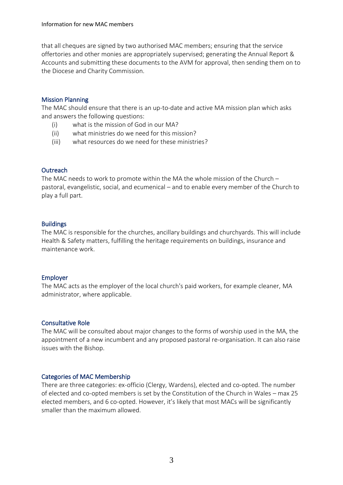that all cheques are signed by two authorised MAC members; ensuring that the service offertories and other monies are appropriately supervised; generating the Annual Report & Accounts and submitting these documents to the AVM for approval, then sending them on to the Diocese and Charity Commission.

#### Mission Planning

The MAC should ensure that there is an up-to-date and active MA mission plan which asks and answers the following questions:

- (i) what is the mission of God in our MA?
- (ii) what ministries do we need for this mission?
- (iii) what resources do we need for these ministries?

#### **Outreach**

The MAC needs to work to promote within the MA the whole mission of the Church – pastoral, evangelistic, social, and ecumenical – and to enable every member of the Church to play a full part.

#### **Buildings**

The MAC is responsible for the churches, ancillary buildings and churchyards. This will include Health & Safety matters, fulfilling the heritage requirements on buildings, insurance and maintenance work.

#### Employer

The MAC acts as the employer of the local church's paid workers, for example cleaner, MA administrator, where applicable.

#### Consultative Role

The MAC will be consulted about major changes to the forms of worship used in the MA, the appointment of a new incumbent and any proposed pastoral re-organisation. It can also raise issues with the Bishop.

#### Categories of MAC Membership

There are three categories: ex-officio (Clergy, Wardens), elected and co-opted. The number of elected and co-opted members is set by the Constitution of the Church in Wales – max 25 elected members, and 6 co-opted. However, it's likely that most MACs will be significantly smaller than the maximum allowed.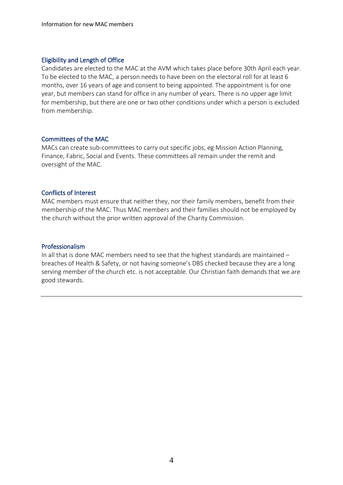#### Eligibility and Length of Office

Candidates are elected to the MAC at the AVM which takes place before 30th April each year. To be elected to the MAC, a person needs to have been on the electoral roll for at least 6 months, over 16 years of age and consent to being appointed. The appointment is for one year, but members can stand for office in any number of years. There is no upper age limit for membership, but there are one or two other conditions under which a person is excluded from membership.

#### Committees of the MAC

MACs can create sub-committees to carry out specific jobs, eg Mission Action Planning, Finance, Fabric, Social and Events. These committees all remain under the remit and oversight of the MAC.

#### Conflicts of Interest

MAC members must ensure that neither they, nor their family members, benefit from their membership of the MAC. Thus MAC members and their families should not be employed by the church without the prior written approval of the Charity Commission.

#### Professionalism

In all that is done MAC members need to see that the highest standards are maintained – breaches of Health & Safety, or not having someone's DBS checked because they are a long serving member of the church etc. is not acceptable. Our Christian faith demands that we are good stewards.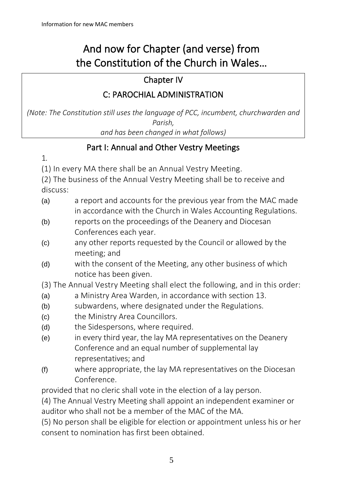## And now for Chapter (and verse) from the Constitution of the Church in Wales…

## Chapter IV

## C: PAROCHIAL ADMINISTRATION

*(Note: The Constitution still uses the language of PCC, incumbent, churchwarden and Parish, and has been changed in what follows)*

## Part I: Annual and Other Vestry Meetings

1.

(1) In every MA there shall be an Annual Vestry Meeting.

(2) The business of the Annual Vestry Meeting shall be to receive and discuss:

- (a) a report and accounts for the previous year from the MAC made in accordance with the Church in Wales Accounting Regulations.
- (b) reports on the proceedings of the Deanery and Diocesan Conferences each year.
- (c) any other reports requested by the Council or allowed by the meeting; and
- (d) with the consent of the Meeting, any other business of which notice has been given.

(3) The Annual Vestry Meeting shall elect the following, and in this order:

- (a) a Ministry Area Warden, in accordance with section 13.
- (b) subwardens, where designated under the Regulations.
- (c) the Ministry Area Councillors.
- (d) the Sidespersons, where required.
- (e) in every third year, the lay MA representatives on the Deanery Conference and an equal number of supplemental lay representatives; and
- (f) where appropriate, the lay MA representatives on the Diocesan Conference.

provided that no cleric shall vote in the election of a lay person.

(4) The Annual Vestry Meeting shall appoint an independent examiner or auditor who shall not be a member of the MAC of the MA.

(5) No person shall be eligible for election or appointment unless his or her consent to nomination has first been obtained.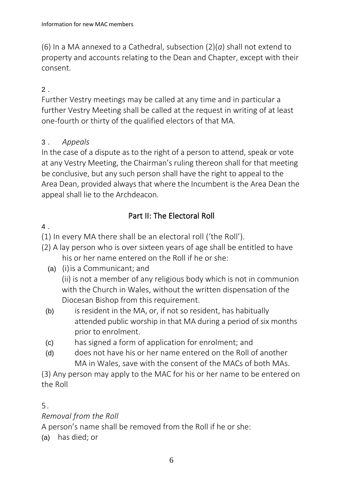(6) In a MA annexed to a Cathedral, subsection (2)(*a*) shall not extend to property and accounts relating to the Dean and Chapter, except with their consent.

## 2 .

Further Vestry meetings may be called at any time and in particular a further Vestry Meeting shall be called at the request in writing of at least one-fourth or thirty of the qualified electors of that MA.

#### 3 . *Appeals*

In the case of a dispute as to the right of a person to attend, speak or vote at any Vestry Meeting, the Chairman's ruling thereon shall for that meeting be conclusive, but any such person shall have the right to appeal to the Area Dean, provided always that where the Incumbent is the Area Dean the appeal shall lie to the Archdeacon.

## Part II: The Electoral Roll

4 .

(1) In every MA there shall be an electoral roll ('the Roll').

- (2) A lay person who is over sixteen years of age shall be entitled to have his or her name entered on the Roll if he or she:
	- (a) (i)is a Communicant; and (ii) is not a member of any religious body which is not in communion with the Church in Wales, without the written dispensation of the Diocesan Bishop from this requirement.
	- (b) is resident in the MA, or, if not so resident, has habitually attended public worship in that MA during a period of six months prior to enrolment.
	- (c) has signed a form of application for enrolment; and
	- (d) does not have his or her name entered on the Roll of another MA in Wales, save with the consent of the MACs of both MAs.

(3) Any person may apply to the MAC for his or her name to be entered on the Roll

### 5 .

### *Removal from the Roll*

A person's name shall be removed from the Roll if he or she:

(a) has died; or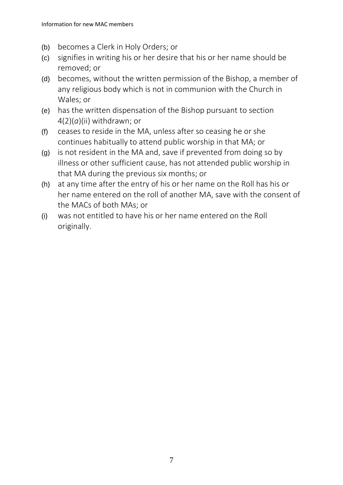- (b) becomes a Clerk in Holy Orders; or
- (c) signifies in writing his or her desire that his or her name should be removed; or
- (d) becomes, without the written permission of the Bishop, a member of any religious body which is not in communion with the Church in Wales; or
- (e) has the written dispensation of the Bishop pursuant to section 4(2)(*a*)(ii) withdrawn; or
- (f) ceases to reside in the MA, unless after so ceasing he or she continues habitually to attend public worship in that MA; or
- (g) is not resident in the MA and, save if prevented from doing so by illness or other sufficient cause, has not attended public worship in that MA during the previous six months; or
- (h) at any time after the entry of his or her name on the Roll has his or her name entered on the roll of another MA, save with the consent of the MACs of both MAs; or
- (i) was not entitled to have his or her name entered on the Roll originally.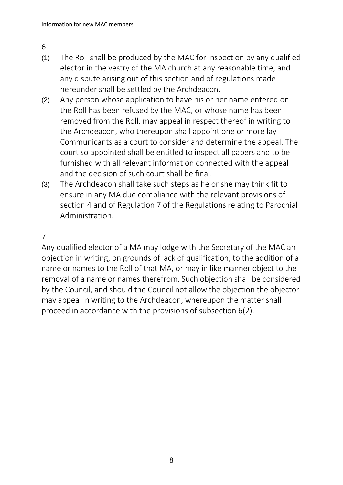6 .

- (1) The Roll shall be produced by the MAC for inspection by any qualified elector in the vestry of the MA church at any reasonable time, and any dispute arising out of this section and of regulations made hereunder shall be settled by the Archdeacon.
- (2) Any person whose application to have his or her name entered on the Roll has been refused by the MAC, or whose name has been removed from the Roll, may appeal in respect thereof in writing to the Archdeacon, who thereupon shall appoint one or more lay Communicants as a court to consider and determine the appeal. The court so appointed shall be entitled to inspect all papers and to be furnished with all relevant information connected with the appeal and the decision of such court shall be final.
- (3) The Archdeacon shall take such steps as he or she may think fit to ensure in any MA due compliance with the relevant provisions of section 4 and of Regulation 7 of the Regulations relating to Parochial Administration.

## 7.

Any qualified elector of a MA may lodge with the Secretary of the MAC an objection in writing, on grounds of lack of qualification, to the addition of a name or names to the Roll of that MA, or may in like manner object to the removal of a name or names therefrom. Such objection shall be considered by the Council, and should the Council not allow the objection the objector may appeal in writing to the Archdeacon, whereupon the matter shall proceed in accordance with the provisions of subsection 6(2).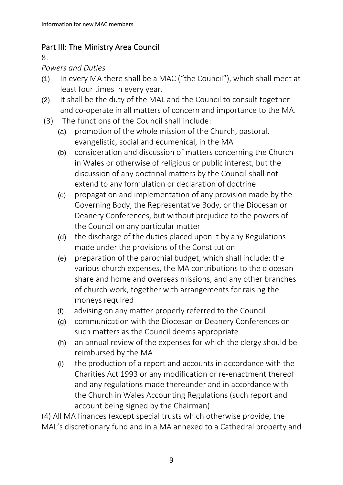## Part III: The Ministry Area Council

8 .

#### *Powers and Duties*

- (1) In every MA there shall be a MAC ("the Council"), which shall meet at least four times in every year.
- (2) It shall be the duty of the MAL and the Council to consult together and co-operate in all matters of concern and importance to the MA.
- (3) The functions of the Council shall include:
	- (a) promotion of the whole mission of the Church, pastoral, evangelistic, social and ecumenical, in the MA
	- (b) consideration and discussion of matters concerning the Church in Wales or otherwise of religious or public interest, but the discussion of any doctrinal matters by the Council shall not extend to any formulation or declaration of doctrine
	- (c) propagation and implementation of any provision made by the Governing Body, the Representative Body, or the Diocesan or Deanery Conferences, but without prejudice to the powers of the Council on any particular matter
	- (d) the discharge of the duties placed upon it by any Regulations made under the provisions of the Constitution
	- (e) preparation of the parochial budget, which shall include: the various church expenses, the MA contributions to the diocesan share and home and overseas missions, and any other branches of church work, together with arrangements for raising the moneys required
	- (f) advising on any matter properly referred to the Council
	- (g) communication with the Diocesan or Deanery Conferences on such matters as the Council deems appropriate
	- (h) an annual review of the expenses for which the clergy should be reimbursed by the MA
	- (i) the production of a report and accounts in accordance with the Charities Act 1993 or any modification or re-enactment thereof and any regulations made thereunder and in accordance with the Church in Wales Accounting Regulations (such report and account being signed by the Chairman)

(4) All MA finances (except special trusts which otherwise provide, the MAL's discretionary fund and in a MA annexed to a Cathedral property and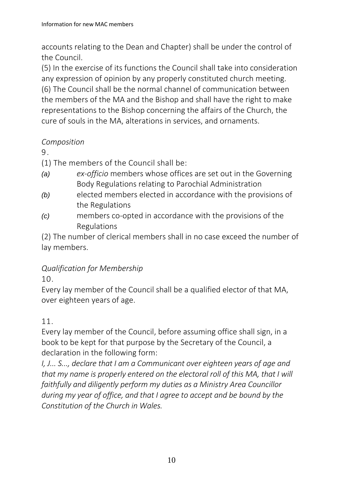accounts relating to the Dean and Chapter) shall be under the control of the Council.

(5) In the exercise of its functions the Council shall take into consideration any expression of opinion by any properly constituted church meeting. (6) The Council shall be the normal channel of communication between the members of the MA and the Bishop and shall have the right to make representations to the Bishop concerning the affairs of the Church, the cure of souls in the MA, alterations in services, and ornaments.

## *Composition*

9 .

(1) The members of the Council shall be:

- *(a) ex-officio* members whose offices are set out in the Governing Body Regulations relating to Parochial Administration
- *(b)* elected members elected in accordance with the provisions of the Regulations
- *(c)* members co-opted in accordance with the provisions of the Regulations

(2) The number of clerical members shall in no case exceed the number of lay members.

## *Qualification for Membership*

10.

Every lay member of the Council shall be a qualified elector of that MA, over eighteen years of age.

## 11.

Every lay member of the Council, before assuming office shall sign, in a book to be kept for that purpose by the Secretary of the Council, a declaration in the following form:

*I, J... S..., declare that I am a Communicant over eighteen years of age and that my name is properly entered on the electoral roll of this MA, that I will faithfully and diligently perform my duties as a Ministry Area Councillor during my year of office, and that I agree to accept and be bound by the Constitution of the Church in Wales.*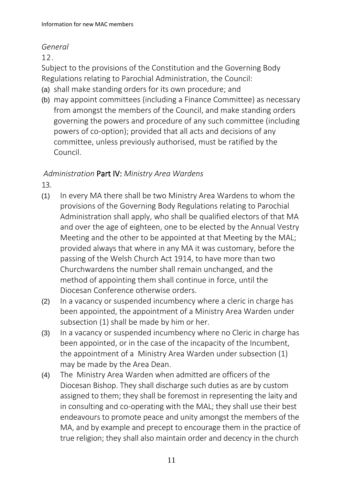#### *General*

12.

Subject to the provisions of the Constitution and the Governing Body Regulations relating to Parochial Administration, the Council:

- (a) shall make standing orders for its own procedure; and
- (b) may appoint committees (including a Finance Committee) as necessary from amongst the members of the Council, and make standing orders governing the powers and procedure of any such committee (including powers of co-option); provided that all acts and decisions of any committee, unless previously authorised, must be ratified by the Council.

### *Administration* Part IV: *Ministry Area Wardens*

13.

- (1) In every MA there shall be two Ministry Area Wardens to whom the provisions of the Governing Body Regulations relating to Parochial Administration shall apply, who shall be qualified electors of that MA and over the age of eighteen, one to be elected by the Annual Vestry Meeting and the other to be appointed at that Meeting by the MAL; provided always that where in any MA it was customary, before the passing of the Welsh Church Act 1914, to have more than two Churchwardens the number shall remain unchanged, and the method of appointing them shall continue in force, until the Diocesan Conference otherwise orders.
- (2) In a vacancy or suspended incumbency where a cleric in charge has been appointed, the appointment of a Ministry Area Warden under subsection (1) shall be made by him or her.
- (3) In a vacancy or suspended incumbency where no Cleric in charge has been appointed, or in the case of the incapacity of the Incumbent, the appointment of a Ministry Area Warden under subsection (1) may be made by the Area Dean.
- (4) The Ministry Area Warden when admitted are officers of the Diocesan Bishop. They shall discharge such duties as are by custom assigned to them; they shall be foremost in representing the laity and in consulting and co-operating with the MAL; they shall use their best endeavours to promote peace and unity amongst the members of the MA, and by example and precept to encourage them in the practice of true religion; they shall also maintain order and decency in the church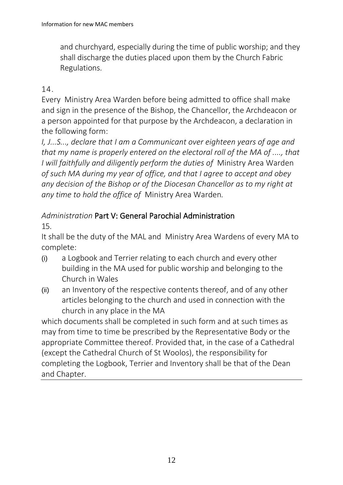and churchyard, especially during the time of public worship; and they shall discharge the duties placed upon them by the Church Fabric Regulations.

## 14.

Every Ministry Area Warden before being admitted to office shall make and sign in the presence of the Bishop, the Chancellor, the Archdeacon or a person appointed for that purpose by the Archdeacon, a declaration in the following form:

*I, J...S..., declare that I am a Communicant over eighteen years of age and that my name is properly entered on the electoral roll of the MA of ...., that I will faithfully and diligently perform the duties of* Ministry Area Warden *of such MA during my year of office, and that I agree to accept and obey any decision of the Bishop or of the Diocesan Chancellor as to my right at any time to hold the office of* Ministry Area Warden*.*

# *Administration* Part V: General Parochial Administration

15.

It shall be the duty of the MAL and Ministry Area Wardens of every MA to complete:

- (i) a Logbook and Terrier relating to each church and every other building in the MA used for public worship and belonging to the Church in Wales
- (ii) an Inventory of the respective contents thereof, and of any other articles belonging to the church and used in connection with the church in any place in the MA

which documents shall be completed in such form and at such times as may from time to time be prescribed by the Representative Body or the appropriate Committee thereof. Provided that, in the case of a Cathedral (except the Cathedral Church of St Woolos), the responsibility for completing the Logbook, Terrier and Inventory shall be that of the Dean and Chapter.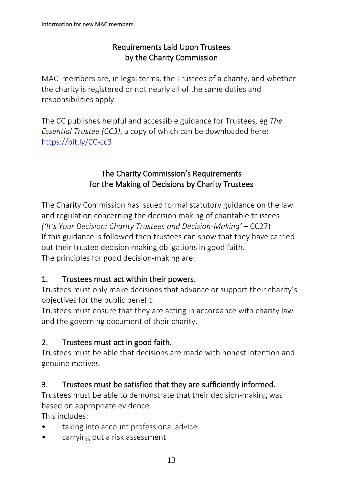### Requirements Laid Upon Trustees by the Charity Commission

MAC members are, in legal terms, the Trustees of a charity, and whether the charity is registered or not nearly all of the same duties and responsibilities apply.

The CC publishes helpful and accessible guidance for Trustees, eg *The Essential Trustee (CC3)*, a copy of which can be downloaded here: <https://bit.ly/CC-cc3>

## The Charity Commission's Requirements for the Making of Decisions by Charity Trustees

The Charity Commission has issued formal statutory guidance on the law and regulation concerning the decision making of charitable trustees *('It's Your Decision: Charity Trustees and Decision-Making'* – CC27) If this guidance is followed then trustees can show that they have carried out their trustee decision-making obligations in good faith. The principles for good decision-making are:

### 1. Trustees must act within their powers.

Trustees must only make decisions that advance or support their charity's objectives for the public benefit.

Trustees must ensure that they are acting in accordance with charity law and the governing document of their charity.

### 2. Trustees must act in good faith.

Trustees must be able that decisions are made with honest intention and genuine motives.

### 3. Trustees must be satisfied that they are sufficiently informed.

Trustees must be able to demonstrate that their decision-making was based on appropriate evidence.

This includes:

- taking into account professional advice
- carrying out a risk assessment